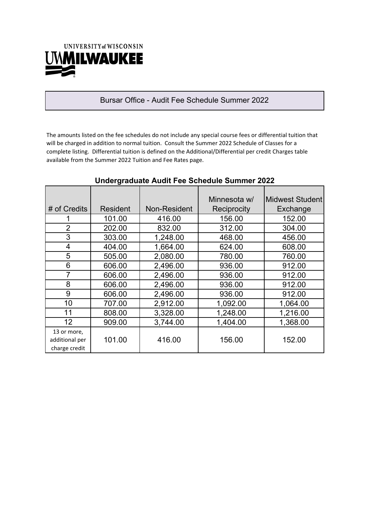

# Bursar Office - Audit Fee Schedule Summer 2022

The amounts listed on the fee schedules do not include any special course fees or differential tuition that will be charged in addition to normal tuition. Consult the Summer 2022 Schedule of Classes for a complete listing. Differential tuition is defined on the Additional/Differential per credit Charges table available from the Summer 2022 Tuition and Fee Rates page.

|                                                |          |              | Minnesota w/ | <b>Midwest Student</b> |
|------------------------------------------------|----------|--------------|--------------|------------------------|
| # of Credits                                   | Resident | Non-Resident | Reciprocity  | Exchange               |
|                                                | 101.00   | 416.00       | 156.00       | 152.00                 |
| $\overline{2}$                                 | 202.00   | 832.00       | 312.00       | 304.00                 |
| 3                                              | 303.00   | 1,248.00     | 468.00       | 456.00                 |
| 4                                              | 404.00   | 1,664.00     | 624.00       | 608.00                 |
| 5                                              | 505.00   | 2,080.00     | 780.00       | 760.00                 |
| 6                                              | 606.00   | 2,496.00     | 936.00       | 912.00                 |
| $\overline{7}$                                 | 606.00   | 2,496.00     | 936.00       | 912.00                 |
| 8                                              | 606.00   | 2,496.00     | 936.00       | 912.00                 |
| 9                                              | 606.00   | 2,496.00     | 936.00       | 912.00                 |
| 10                                             | 707.00   | 2,912.00     | 1,092.00     | 1,064.00               |
| 11                                             | 808.00   | 3,328.00     | 1,248.00     | 1,216.00               |
| 12                                             | 909.00   | 3,744.00     | 1,404.00     | 1,368.00               |
| 13 or more,<br>additional per<br>charge credit | 101.00   | 416.00       | 156.00       | 152.00                 |

## **Undergraduate Audit Fee Schedule Summer 2022**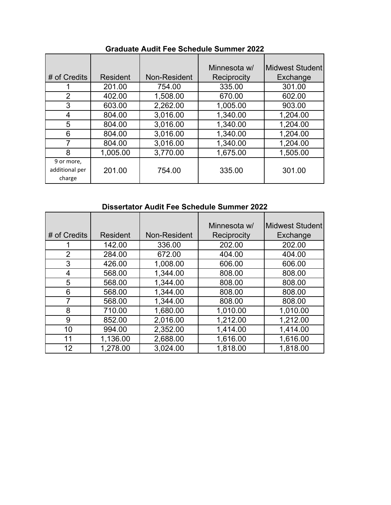| # of Credits                           | <b>Resident</b> | Non-Resident | Minnesota w/<br>Reciprocity | <b>IMidwest Studentl</b><br>Exchange |
|----------------------------------------|-----------------|--------------|-----------------------------|--------------------------------------|
|                                        | 201.00          | 754.00       | 335.00                      | 301.00                               |
| 2                                      | 402.00          | 1,508.00     | 670.00                      | 602.00                               |
| 3                                      | 603.00          | 2,262.00     | 1,005.00                    | 903.00                               |
| 4                                      | 804.00          | 3,016.00     | 1,340.00                    | 1,204.00                             |
| 5                                      | 804.00          | 3,016.00     | 1,340.00                    | 1,204.00                             |
| 6                                      | 804.00          | 3,016.00     | 1,340.00                    | 1,204.00                             |
| 7                                      | 804.00          | 3,016.00     | 1,340.00                    | 1,204.00                             |
| 8                                      | 1,005.00        | 3,770.00     | 1,675.00                    | 1,505.00                             |
| 9 or more,<br>additional per<br>charge | 201.00          | 754.00       | 335.00                      | 301.00                               |

# **Graduate Audit Fee Schedule Summer 2022**

# **Dissertator Audit Fee Schedule Summer 2022**

|              |                 |              | Minnesota w/ | Midwest Student |
|--------------|-----------------|--------------|--------------|-----------------|
| # of Credits | <b>Resident</b> | Non-Resident | Reciprocity  | Exchange        |
|              | 142.00          | 336.00       | 202.00       | 202.00          |
| 2            | 284.00          | 672.00       | 404.00       | 404.00          |
| 3            | 426.00          | 1,008.00     | 606.00       | 606.00          |
| 4            | 568.00          | 1,344.00     | 808.00       | 808.00          |
| 5            | 568.00          | 1,344.00     | 808.00       | 808.00          |
| 6            | 568.00          | 1,344.00     | 808.00       | 808.00          |
| 7            | 568.00          | 1,344.00     | 808.00       | 808.00          |
| 8            | 710.00          | 1,680.00     | 1,010.00     | 1,010.00        |
| 9            | 852.00          | 2,016.00     | 1,212.00     | 1,212.00        |
| 10           | 994.00          | 2,352.00     | 1,414.00     | 1,414.00        |
| 11           | 1,136.00        | 2,688.00     | 1,616.00     | 1,616.00        |
| 12           | 1,278.00        | 3,024.00     | 1,818.00     | 1,818.00        |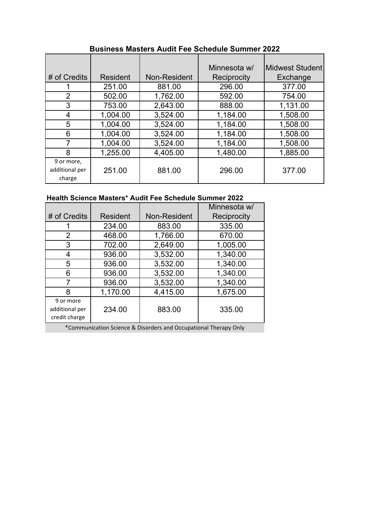| # of Credits                           | <b>Resident</b> | Non-Resident | Minnesota w/<br>Reciprocity | <b>Midwest Student</b><br>Exchange |
|----------------------------------------|-----------------|--------------|-----------------------------|------------------------------------|
|                                        | 251.00          | 881.00       | 296.00                      | 377.00                             |
| $\overline{2}$                         | 502.00          | 1,762.00     | 592.00                      | 754.00                             |
| 3                                      | 753.00          | 2,643.00     | 888.00                      | 1,131.00                           |
| 4                                      | 1,004.00        | 3,524.00     | 1,184.00                    | 1,508.00                           |
| 5                                      | 1,004.00        | 3,524.00     | 1,184.00                    | 1,508.00                           |
| 6                                      | 1,004.00        | 3,524.00     | 1,184.00                    | 1,508.00                           |
| $\overline{7}$                         | 1,004.00        | 3,524.00     | 1,184.00                    | 1,508.00                           |
| 8                                      | 1,255.00        | 4,405.00     | 1,480.00                    | 1,885.00                           |
| 9 or more,<br>additional per<br>charge | 251.00          | 881.00       | 296.00                      | 377.00                             |

# **Business Masters Audit Fee Schedule Summer 2022**

## **Health Science Masters\* Audit Fee Schedule Summer 2022**

|                |                 |              | Minnesota w/ |
|----------------|-----------------|--------------|--------------|
| # of Credits   | <b>Resident</b> | Non-Resident | Reciprocity  |
|                | 234.00          | 883.00       | 335.00       |
| 2              | 468.00          | 1,766.00     | 670.00       |
| 3              | 702.00          | 2,649.00     | 1,005.00     |
| 4              | 936.00          | 3,532.00     | 1,340.00     |
| 5              | 936.00          | 3,532.00     | 1,340.00     |
| 6              | 936.00          | 3,532.00     | 1,340.00     |
| 7              | 936.00          | 3,532.00     | 1,340.00     |
| 8              | 1,170.00        | 4,415.00     | 1,675.00     |
| 9 or more      |                 |              |              |
| additional per | 234.00          | 883.00       | 335.00       |
| credit charge  |                 |              |              |

\*Communication Science & Disorders and Occupational Therapy Only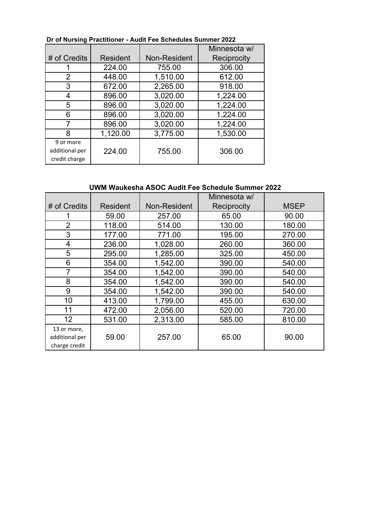|                |          |              | Minnesota w/ |
|----------------|----------|--------------|--------------|
| # of Credits   | Resident | Non-Resident | Reciprocity  |
|                | 224.00   | 755.00       | 306.00       |
| 2              | 448.00   | 1,510.00     | 612.00       |
| 3              | 672.00   | 2,265.00     | 918.00       |
| 4              | 896.00   | 3,020.00     | 1,224.00     |
| 5              | 896.00   | 3,020.00     | 1,224.00     |
| 6              | 896.00   | 3,020.00     | 1,224.00     |
| 7              | 896.00   | 3,020.00     | 1,224.00     |
| 8              | 1,120.00 | 3,775.00     | 1,530.00     |
| 9 or more      |          |              |              |
| additional per | 224.00   | 755.00       | 306.00       |
| credit charge  |          |              |              |

#### **Dr of Nursing Practitioner - Audit Fee Schedules Summer 2022**

#### **UWM Waukesha ASOC Audit Fee Schedule Summer 2022**

|                                                |                 |              | Minnesota w/ |             |
|------------------------------------------------|-----------------|--------------|--------------|-------------|
| # of Credits                                   | <b>Resident</b> | Non-Resident | Reciprocity  | <b>MSEP</b> |
|                                                | 59.00           | 257.00       | 65.00        | 90.00       |
| $\overline{2}$                                 | 118.00          | 514.00       | 130.00       | 180.00      |
| 3                                              | 177.00          | 771.00       | 195.00       | 270.00      |
| 4                                              | 236.00          | 1,028.00     | 260.00       | 360.00      |
| 5                                              | 295.00          | 1,285.00     | 325.00       | 450.00      |
| 6                                              | 354.00          | 1,542.00     | 390.00       | 540.00      |
| 7                                              | 354.00          | 1,542.00     | 390.00       | 540.00      |
| 8                                              | 354.00          | 1,542.00     | 390.00       | 540.00      |
| 9                                              | 354.00          | 1,542.00     | 390.00       | 540.00      |
| 10                                             | 413.00          | 1,799.00     | 455.00       | 630.00      |
| 11                                             | 472.00          | 2,056.00     | 520.00       | 720.00      |
| 12                                             | 531.00          | 2,313.00     | 585.00       | 810.00      |
| 13 or more,<br>additional per<br>charge credit | 59.00           | 257.00       | 65.00        | 90.00       |